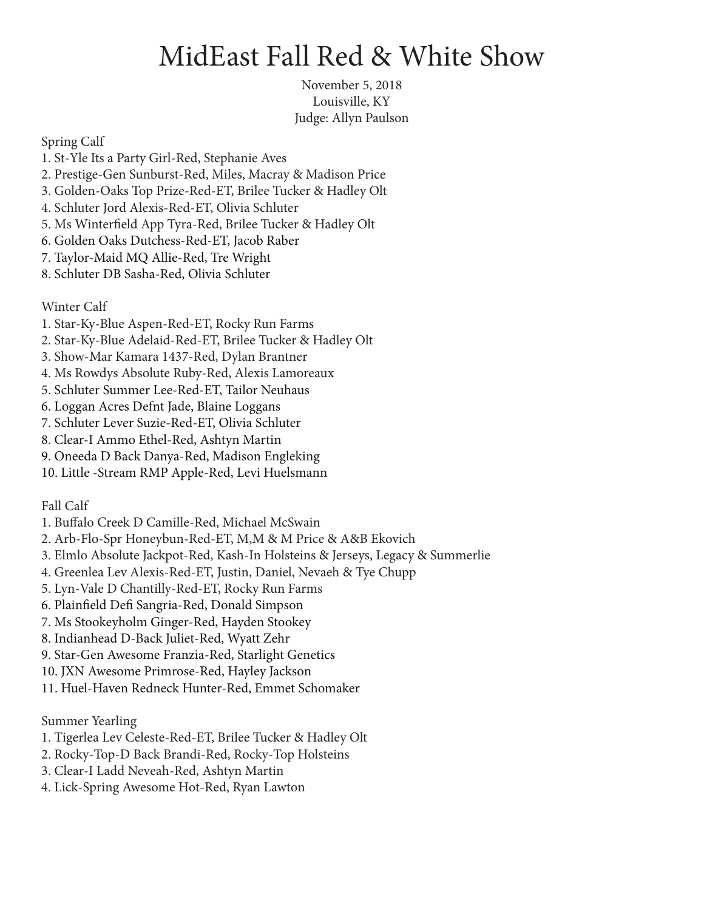## MidEast Fall Red & White Show

November 5, 2018 Louisville, KY Judge: Allyn Paulson

Spring Calf

- 1. St-Yle Its a Party Girl-Red, Stephanie Aves
- 2. Prestige-Gen Sunburst-Red, Miles, Macray & Madison Price
- 3. Golden-Oaks Top Prize-Red-ET, Brilee Tucker & Hadley Olt
- 4. Schluter Jord Alexis-Red-ET, Olivia Schluter
- 5. Ms Winterfield App Tyra-Red, Brilee Tucker & Hadley Olt
- 6. Golden Oaks Dutchess-Red-ET, Jacob Raber
- 7. Taylor-Maid MQ Allie-Red, Tre Wright
- 8. Schluter DB Sasha-Red, Olivia Schluter

Winter Calf

- 1. Star-Ky-Blue Aspen-Red-ET, Rocky Run Farms
- 2. Star-Ky-Blue Adelaid-Red-ET, Brilee Tucker & Hadley Olt
- 3. Show-Mar Kamara 1437-Red, Dylan Brantner
- 4. Ms Rowdys Absolute Ruby-Red, Alexis Lamoreaux
- 5. Schluter Summer Lee-Red-ET, Tailor Neuhaus
- 6. Loggan Acres Defnt Jade, Blaine Loggans
- 7. Schluter Lever Suzie-Red-ET, Olivia Schluter
- 8. Clear-I Ammo Ethel-Red, Ashtyn Martin
- 9. Oneeda D Back Danya-Red, Madison Engleking
- 10. Little -Stream RMP Apple-Red, Levi Huelsmann

Fall Calf

- 1. Buffalo Creek D Camille-Red, Michael McSwain
- 2. Arb-Flo-Spr Honeybun-Red-ET, M,M & M Price & A&B Ekovich
- 3. Elmlo Absolute Jackpot-Red, Kash-In Holsteins & Jerseys, Legacy & Summerlie
- 4. Greenlea Lev Alexis-Red-ET, Justin, Daniel, Nevaeh & Tye Chupp
- 5. Lyn-Vale D Chantilly-Red-ET, Rocky Run Farms
- 6. Plainfield Defi Sangria-Red, Donald Simpson
- 7. Ms Stookeyholm Ginger-Red, Hayden Stookey
- 8. Indianhead D-Back Juliet-Red, Wyatt Zehr
- 9. Star-Gen Awesome Franzia-Red, Starlight Genetics
- 10. JXN Awesome Primrose-Red, Hayley Jackson
- 11. Huel-Haven Redneck Hunter-Red, Emmet Schomaker

## Summer Yearling

- 1. Tigerlea Lev Celeste-Red-ET, Brilee Tucker & Hadley Olt
- 2. Rocky-Top-D Back Brandi-Red, Rocky-Top Holsteins
- 3. Clear-I Ladd Neveah-Red, Ashtyn Martin
- 4. Lick-Spring Awesome Hot-Red, Ryan Lawton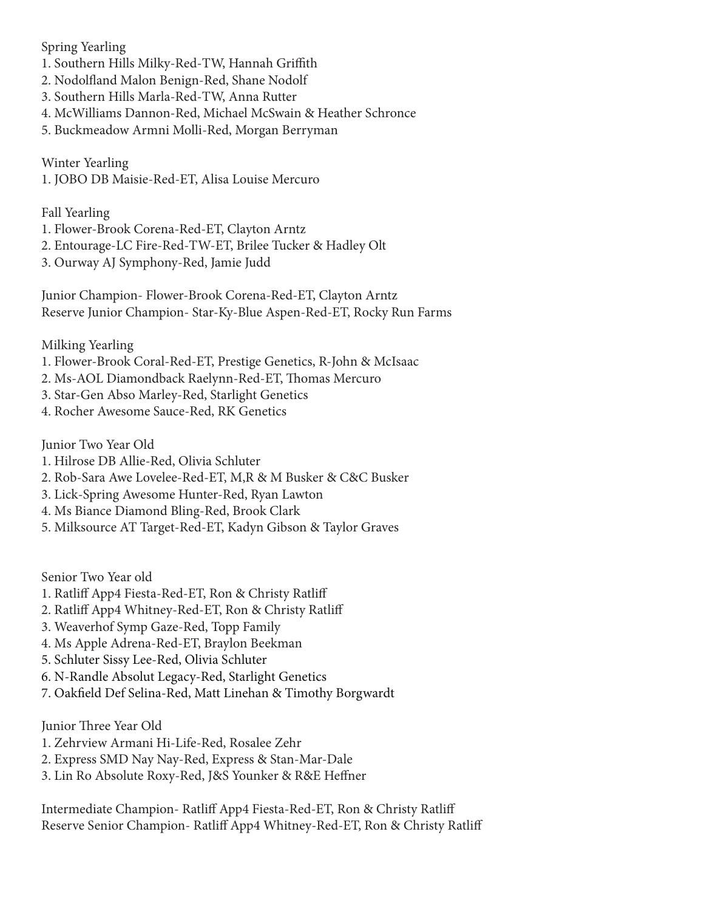Spring Yearling

- 1. Southern Hills Milky-Red-TW, Hannah Griffith
- 2. Nodolfland Malon Benign-Red, Shane Nodolf
- 3. Southern Hills Marla-Red-TW, Anna Rutter
- 4. McWilliams Dannon-Red, Michael McSwain & Heather Schronce
- 5. Buckmeadow Armni Molli-Red, Morgan Berryman

Winter Yearling 1. JOBO DB Maisie-Red-ET, Alisa Louise Mercuro

## Fall Yearling

- 1. Flower-Brook Corena-Red-ET, Clayton Arntz
- 2. Entourage-LC Fire-Red-TW-ET, Brilee Tucker & Hadley Olt
- 3. Ourway AJ Symphony-Red, Jamie Judd

Junior Champion- Flower-Brook Corena-Red-ET, Clayton Arntz Reserve Junior Champion- Star-Ky-Blue Aspen-Red-ET, Rocky Run Farms

- Milking Yearling
- 1. Flower-Brook Coral-Red-ET, Prestige Genetics, R-John & McIsaac
- 2. Ms-AOL Diamondback Raelynn-Red-ET, Thomas Mercuro
- 3. Star-Gen Abso Marley-Red, Starlight Genetics
- 4. Rocher Awesome Sauce-Red, RK Genetics

Junior Two Year Old

- 1. Hilrose DB Allie-Red, Olivia Schluter
- 2. Rob-Sara Awe Lovelee-Red-ET, M,R & M Busker & C&C Busker
- 3. Lick-Spring Awesome Hunter-Red, Ryan Lawton
- 4. Ms Biance Diamond Bling-Red, Brook Clark
- 5. Milksource AT Target-Red-ET, Kadyn Gibson & Taylor Graves

Senior Two Year old

- 1. Ratliff App4 Fiesta-Red-ET, Ron & Christy Ratliff
- 2. Ratliff App4 Whitney-Red-ET, Ron & Christy Ratliff
- 3. Weaverhof Symp Gaze-Red, Topp Family
- 4. Ms Apple Adrena-Red-ET, Braylon Beekman
- 5. Schluter Sissy Lee-Red, Olivia Schluter
- 6. N-Randle Absolut Legacy-Red, Starlight Genetics
- 7. Oakfield Def Selina-Red, Matt Linehan & Timothy Borgwardt

Junior Three Year Old

- 1. Zehrview Armani Hi-Life-Red, Rosalee Zehr
- 2. Express SMD Nay Nay-Red, Express & Stan-Mar-Dale
- 3. Lin Ro Absolute Roxy-Red, J&S Younker & R&E Heffner

Intermediate Champion- Ratliff App4 Fiesta-Red-ET, Ron & Christy Ratliff Reserve Senior Champion- Ratliff App4 Whitney-Red-ET, Ron & Christy Ratliff